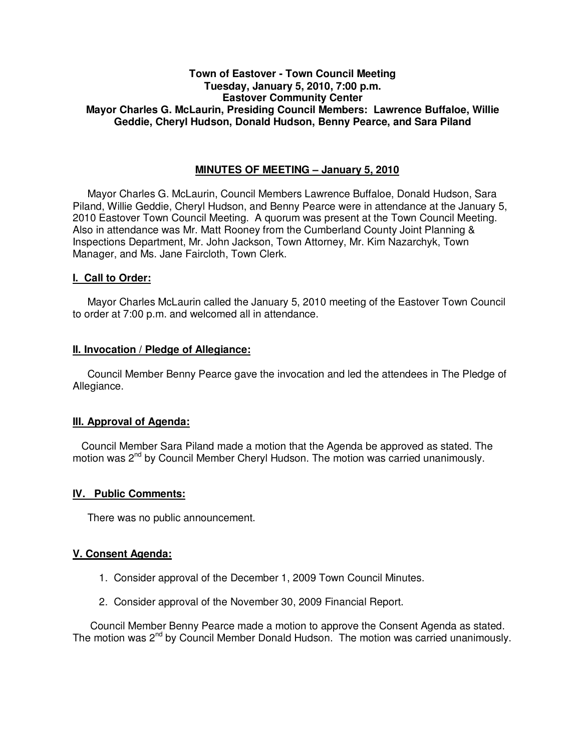# **Town of Eastover - Town Council Meeting Tuesday, January 5, 2010, 7:00 p.m. Eastover Community Center Mayor Charles G. McLaurin, Presiding Council Members: Lawrence Buffaloe, Willie Geddie, Cheryl Hudson, Donald Hudson, Benny Pearce, and Sara Piland**

# **MINUTES OF MEETING – January 5, 2010**

Mayor Charles G. McLaurin, Council Members Lawrence Buffaloe, Donald Hudson, Sara Piland, Willie Geddie, Cheryl Hudson, and Benny Pearce were in attendance at the January 5, 2010 Eastover Town Council Meeting. A quorum was present at the Town Council Meeting. Also in attendance was Mr. Matt Rooney from the Cumberland County Joint Planning & Inspections Department, Mr. John Jackson, Town Attorney, Mr. Kim Nazarchyk, Town Manager, and Ms. Jane Faircloth, Town Clerk.

## **I. Call to Order:**

Mayor Charles McLaurin called the January 5, 2010 meeting of the Eastover Town Council to order at 7:00 p.m. and welcomed all in attendance.

### **II. Invocation / Pledge of Allegiance:**

 Council Member Benny Pearce gave the invocation and led the attendees in The Pledge of Allegiance.

## **III. Approval of Agenda:**

 Council Member Sara Piland made a motion that the Agenda be approved as stated. The motion was  $2<sup>nd</sup>$  by Council Member Cheryl Hudson. The motion was carried unanimously.

#### **IV. Public Comments:**

There was no public announcement.

#### **V. Consent Agenda:**

- 1. Consider approval of the December 1, 2009 Town Council Minutes.
- 2. Consider approval of the November 30, 2009 Financial Report.

 Council Member Benny Pearce made a motion to approve the Consent Agenda as stated. The motion was 2<sup>nd</sup> by Council Member Donald Hudson. The motion was carried unanimously.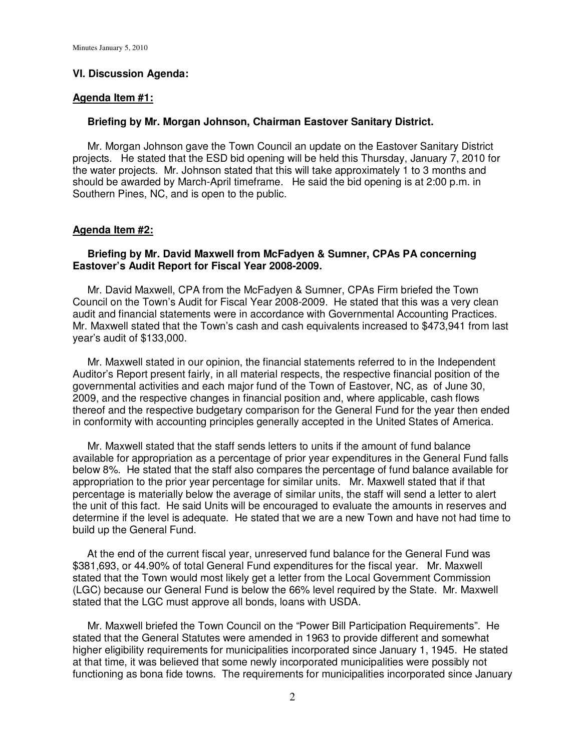### **VI. Discussion Agenda:**

#### **Agenda Item #1:**

### **Briefing by Mr. Morgan Johnson, Chairman Eastover Sanitary District.**

 Mr. Morgan Johnson gave the Town Council an update on the Eastover Sanitary District projects. He stated that the ESD bid opening will be held this Thursday, January 7, 2010 for the water projects. Mr. Johnson stated that this will take approximately 1 to 3 months and should be awarded by March-April timeframe. He said the bid opening is at 2:00 p.m. in Southern Pines, NC, and is open to the public.

#### **Agenda Item #2:**

### **Briefing by Mr. David Maxwell from McFadyen & Sumner, CPAs PA concerning Eastover's Audit Report for Fiscal Year 2008-2009.**

 Mr. David Maxwell, CPA from the McFadyen & Sumner, CPAs Firm briefed the Town Council on the Town's Audit for Fiscal Year 2008-2009. He stated that this was a very clean audit and financial statements were in accordance with Governmental Accounting Practices. Mr. Maxwell stated that the Town's cash and cash equivalents increased to \$473,941 from last year's audit of \$133,000.

 Mr. Maxwell stated in our opinion, the financial statements referred to in the Independent Auditor's Report present fairly, in all material respects, the respective financial position of the governmental activities and each major fund of the Town of Eastover, NC, as of June 30, 2009, and the respective changes in financial position and, where applicable, cash flows thereof and the respective budgetary comparison for the General Fund for the year then ended in conformity with accounting principles generally accepted in the United States of America.

 Mr. Maxwell stated that the staff sends letters to units if the amount of fund balance available for appropriation as a percentage of prior year expenditures in the General Fund falls below 8%. He stated that the staff also compares the percentage of fund balance available for appropriation to the prior year percentage for similar units. Mr. Maxwell stated that if that percentage is materially below the average of similar units, the staff will send a letter to alert the unit of this fact. He said Units will be encouraged to evaluate the amounts in reserves and determine if the level is adequate. He stated that we are a new Town and have not had time to build up the General Fund.

 At the end of the current fiscal year, unreserved fund balance for the General Fund was \$381,693, or 44.90% of total General Fund expenditures for the fiscal year. Mr. Maxwell stated that the Town would most likely get a letter from the Local Government Commission (LGC) because our General Fund is below the 66% level required by the State. Mr. Maxwell stated that the LGC must approve all bonds, loans with USDA.

 Mr. Maxwell briefed the Town Council on the "Power Bill Participation Requirements". He stated that the General Statutes were amended in 1963 to provide different and somewhat higher eligibility requirements for municipalities incorporated since January 1, 1945. He stated at that time, it was believed that some newly incorporated municipalities were possibly not functioning as bona fide towns. The requirements for municipalities incorporated since January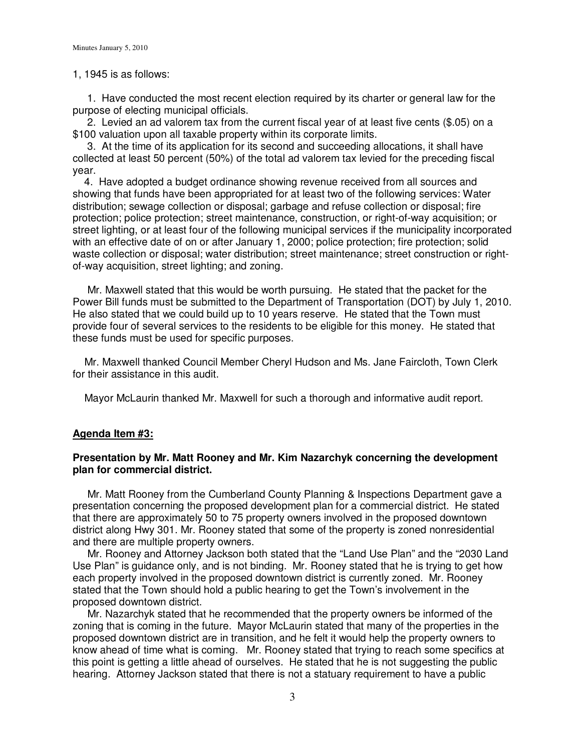#### 1, 1945 is as follows:

 1. Have conducted the most recent election required by its charter or general law for the purpose of electing municipal officials.

 2. Levied an ad valorem tax from the current fiscal year of at least five cents (\$.05) on a \$100 valuation upon all taxable property within its corporate limits.

 3. At the time of its application for its second and succeeding allocations, it shall have collected at least 50 percent (50%) of the total ad valorem tax levied for the preceding fiscal year.

 4. Have adopted a budget ordinance showing revenue received from all sources and showing that funds have been appropriated for at least two of the following services: Water distribution; sewage collection or disposal; garbage and refuse collection or disposal; fire protection; police protection; street maintenance, construction, or right-of-way acquisition; or street lighting, or at least four of the following municipal services if the municipality incorporated with an effective date of on or after January 1, 2000; police protection; fire protection; solid waste collection or disposal; water distribution; street maintenance; street construction or rightof-way acquisition, street lighting; and zoning.

 Mr. Maxwell stated that this would be worth pursuing. He stated that the packet for the Power Bill funds must be submitted to the Department of Transportation (DOT) by July 1, 2010. He also stated that we could build up to 10 years reserve. He stated that the Town must provide four of several services to the residents to be eligible for this money. He stated that these funds must be used for specific purposes.

 Mr. Maxwell thanked Council Member Cheryl Hudson and Ms. Jane Faircloth, Town Clerk for their assistance in this audit.

Mayor McLaurin thanked Mr. Maxwell for such a thorough and informative audit report.

## **Agenda Item #3:**

## **Presentation by Mr. Matt Rooney and Mr. Kim Nazarchyk concerning the development plan for commercial district.**

 Mr. Matt Rooney from the Cumberland County Planning & Inspections Department gave a presentation concerning the proposed development plan for a commercial district. He stated that there are approximately 50 to 75 property owners involved in the proposed downtown district along Hwy 301. Mr. Rooney stated that some of the property is zoned nonresidential and there are multiple property owners.

 Mr. Rooney and Attorney Jackson both stated that the "Land Use Plan" and the "2030 Land Use Plan" is guidance only, and is not binding. Mr. Rooney stated that he is trying to get how each property involved in the proposed downtown district is currently zoned. Mr. Rooney stated that the Town should hold a public hearing to get the Town's involvement in the proposed downtown district.

 Mr. Nazarchyk stated that he recommended that the property owners be informed of the zoning that is coming in the future. Mayor McLaurin stated that many of the properties in the proposed downtown district are in transition, and he felt it would help the property owners to know ahead of time what is coming. Mr. Rooney stated that trying to reach some specifics at this point is getting a little ahead of ourselves. He stated that he is not suggesting the public hearing. Attorney Jackson stated that there is not a statuary requirement to have a public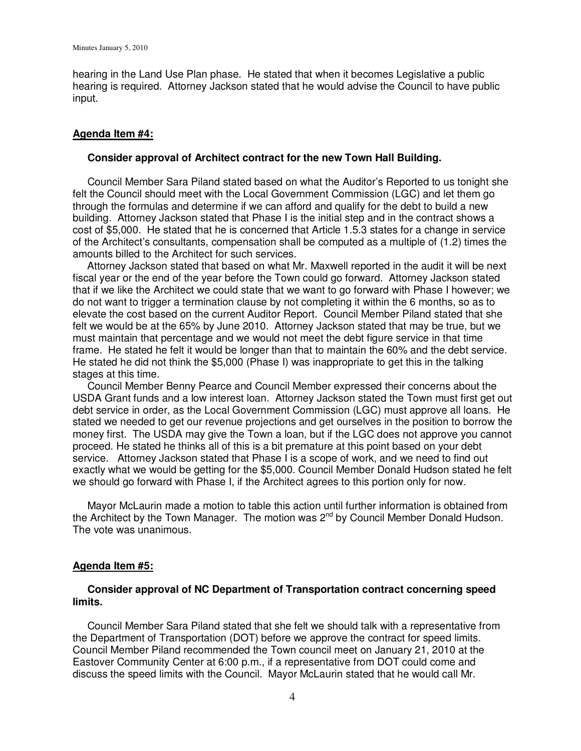hearing in the Land Use Plan phase. He stated that when it becomes Legislative a public hearing is required. Attorney Jackson stated that he would advise the Council to have public input.

### **Agenda Item #4:**

### **Consider approval of Architect contract for the new Town Hall Building.**

 Council Member Sara Piland stated based on what the Auditor's Reported to us tonight she felt the Council should meet with the Local Government Commission (LGC) and let them go through the formulas and determine if we can afford and qualify for the debt to build a new building. Attorney Jackson stated that Phase I is the initial step and in the contract shows a cost of \$5,000. He stated that he is concerned that Article 1.5.3 states for a change in service of the Architect's consultants, compensation shall be computed as a multiple of (1.2) times the amounts billed to the Architect for such services.

 Attorney Jackson stated that based on what Mr. Maxwell reported in the audit it will be next fiscal year or the end of the year before the Town could go forward. Attorney Jackson stated that if we like the Architect we could state that we want to go forward with Phase I however; we do not want to trigger a termination clause by not completing it within the 6 months, so as to elevate the cost based on the current Auditor Report. Council Member Piland stated that she felt we would be at the 65% by June 2010. Attorney Jackson stated that may be true, but we must maintain that percentage and we would not meet the debt figure service in that time frame. He stated he felt it would be longer than that to maintain the 60% and the debt service. He stated he did not think the \$5,000 (Phase I) was inappropriate to get this in the talking stages at this time.

 Council Member Benny Pearce and Council Member expressed their concerns about the USDA Grant funds and a low interest loan. Attorney Jackson stated the Town must first get out debt service in order, as the Local Government Commission (LGC) must approve all loans. He stated we needed to get our revenue projections and get ourselves in the position to borrow the money first. The USDA may give the Town a loan, but if the LGC does not approve you cannot proceed. He stated he thinks all of this is a bit premature at this point based on your debt service. Attorney Jackson stated that Phase I is a scope of work, and we need to find out exactly what we would be getting for the \$5,000. Council Member Donald Hudson stated he felt we should go forward with Phase I, if the Architect agrees to this portion only for now.

 Mayor McLaurin made a motion to table this action until further information is obtained from the Architect by the Town Manager. The motion was  $2^{nd}$  by Council Member Donald Hudson. The vote was unanimous.

#### **Agenda Item #5:**

### **Consider approval of NC Department of Transportation contract concerning speed limits.**

Council Member Sara Piland stated that she felt we should talk with a representative from the Department of Transportation (DOT) before we approve the contract for speed limits. Council Member Piland recommended the Town council meet on January 21, 2010 at the Eastover Community Center at 6:00 p.m., if a representative from DOT could come and discuss the speed limits with the Council. Mayor McLaurin stated that he would call Mr.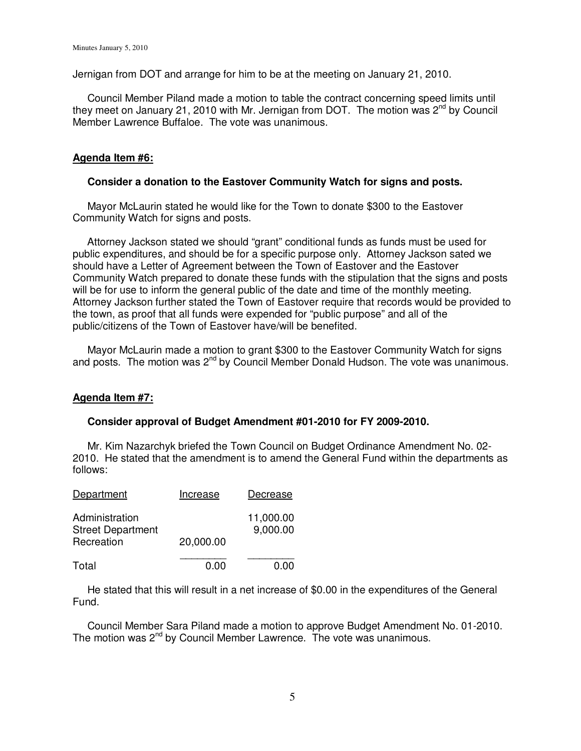Jernigan from DOT and arrange for him to be at the meeting on January 21, 2010.

 Council Member Piland made a motion to table the contract concerning speed limits until they meet on January 21, 2010 with Mr. Jernigan from DOT. The motion was  $2^{nd}$  by Council Member Lawrence Buffaloe. The vote was unanimous.

# **Agenda Item #6:**

# **Consider a donation to the Eastover Community Watch for signs and posts.**

 Mayor McLaurin stated he would like for the Town to donate \$300 to the Eastover Community Watch for signs and posts.

 Attorney Jackson stated we should "grant" conditional funds as funds must be used for public expenditures, and should be for a specific purpose only. Attorney Jackson sated we should have a Letter of Agreement between the Town of Eastover and the Eastover Community Watch prepared to donate these funds with the stipulation that the signs and posts will be for use to inform the general public of the date and time of the monthly meeting. Attorney Jackson further stated the Town of Eastover require that records would be provided to the town, as proof that all funds were expended for "public purpose" and all of the public/citizens of the Town of Eastover have/will be benefited.

 Mayor McLaurin made a motion to grant \$300 to the Eastover Community Watch for signs and posts. The motion was 2<sup>nd</sup> by Council Member Donald Hudson. The vote was unanimous.

## **Agenda Item #7:**

## **Consider approval of Budget Amendment #01-2010 for FY 2009-2010.**

Mr. Kim Nazarchyk briefed the Town Council on Budget Ordinance Amendment No. 02- 2010. He stated that the amendment is to amend the General Fund within the departments as follows:

| Department                                               | Increase  | Decrease              |
|----------------------------------------------------------|-----------|-----------------------|
| Administration<br><b>Street Department</b><br>Recreation | 20,000.00 | 11,000.00<br>9,000.00 |
| Total                                                    | 0.00      | 0.00                  |

 He stated that this will result in a net increase of \$0.00 in the expenditures of the General Fund.

 Council Member Sara Piland made a motion to approve Budget Amendment No. 01-2010. The motion was  $2^{nd}$  by Council Member Lawrence. The vote was unanimous.